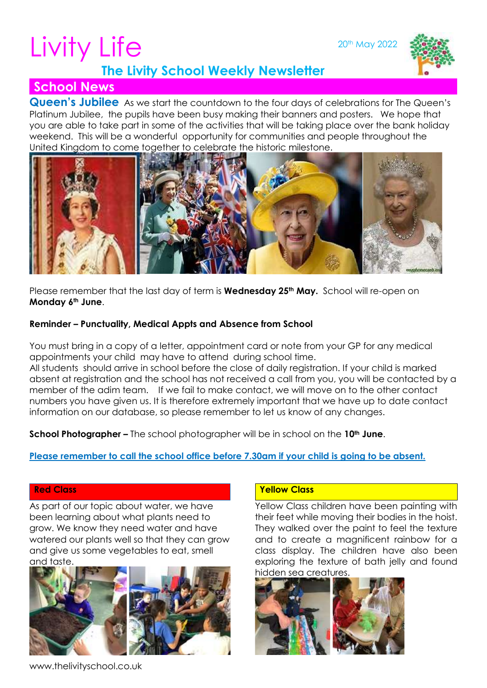20th May 2022

# Livity Life



## **The Livity School Weekly Newsletter**

# **School News**

**Queen's Jubilee** As we start the countdown to the four days of celebrations for The Queen's Platinum Jubilee, the pupils have been busy making their banners and posters. We hope that you are able to take part in some of the activities that will be taking place over the bank holiday weekend. This will be a wonderful opportunity for communities and people throughout the United Kingdom to come together to celebrate the historic milestone.



Please remember that the last day of term is **Wednesday 25th May.** School will re-open on **Monday 6th June**.

#### **Reminder – Punctuality, Medical Appts and Absence from School**

You must bring in a copy of a letter, appointment card or note from your GP for any medical appointments your child may have to attend during school time. All students should arrive in school before the close of daily registration. If your child is marked absent at registration and the school has not received a call from you, you will be contacted by a member of the adim team. If we fail to make contact, we will move on to the other contact numbers you have given us. It is therefore extremely important that we have up to date contact information on our database, so please remember to let us know of any changes.

**School Photographer –** The school photographer will be in school on the **10th June**.

#### **Please remember to call the school office before 7.30am if your child is going to be absent.**

#### **Red Class**

As part of our topic about water, we have been learning about what plants need to grow. We know they need water and have watered our plants well so that they can grow and give us some vegetables to eat, smell and taste.



#### **Yellow Class**

Yellow Class children have been painting with their feet while moving their bodies in the hoist. They walked over the paint to feel the texture and to create a magnificent rainbow for a class display. The children have also been exploring the texture of bath jelly and found hidden sea creatures.



www.thelivityschool.co.uk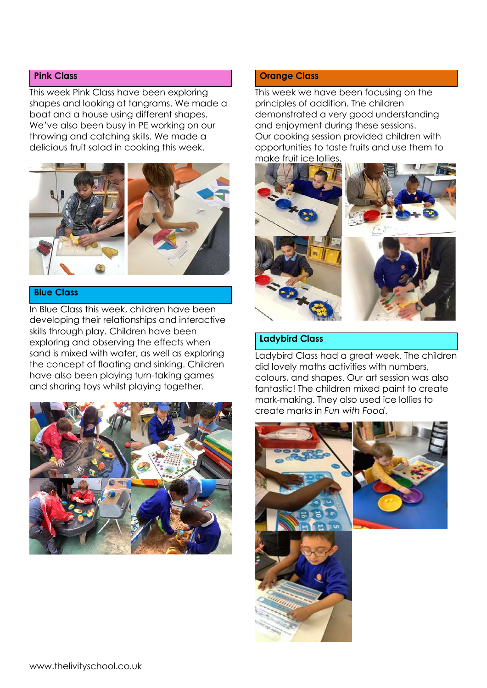#### **Pink Class**

This week Pink Class have been exploring shapes and looking at tangrams. We made a boat and a house using different shapes. We've also been busy in PE working on our throwing and catching skills. We made a delicious fruit salad in cooking this week.



#### **Blue Class**

In Blue Class this week, children have been developing their relationships and interactive skills through play. Children have been exploring and observing the effects when sand is mixed with water, as well as exploring the concept of floating and sinking. Children have also been playing turn-taking games and sharing toys whilst playing together.



#### **Orange Class**

This week we have been focusing on the principles of addition. The children demonstrated a very good understanding and enjoyment during these sessions. Our cooking session provided children with opportunities to taste fruits and use them to make fruit ice lollies.



#### **Ladybird Class**

Ladybird Class had a great week. The children did lovely maths activities with numbers, colours, and shapes. Our art session was also fantastic! The children mixed paint to create mark-making. They also used ice lollies to create marks in *Fun with Food*.

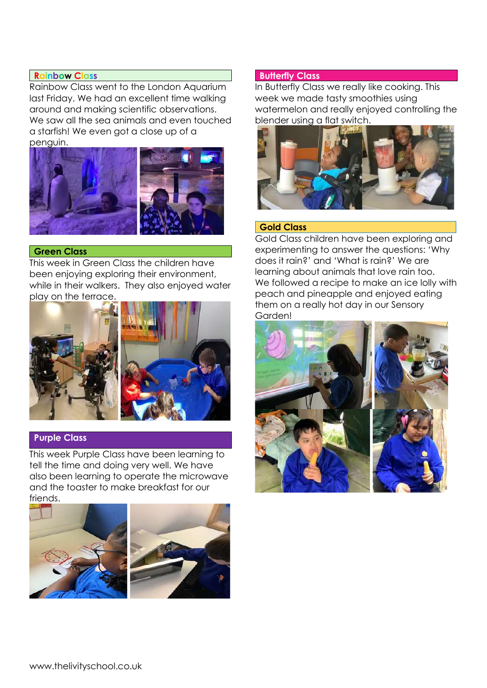#### **Rainbow Class**

Rainbow Class went to the London Aquarium last Friday. We had an excellent time walking around and making scientific observations. We saw all the sea animals and even touched a starfish! We even got a close up of a penguin.



#### **Green Class**

This week in Green Class the children have been enjoying exploring their environment, while in their walkers. They also enjoyed water play on the terrace.



#### **Purple Class**

This week Purple Class have been learning to tell the time and doing very well. We have also been learning to operate the microwave and the toaster to make breakfast for our friends.





#### **Butterfly Class**

In Butterfly Class we really like cooking. This week we made tasty smoothies using watermelon and really enjoyed controlling the blender using a flat switch.



#### **Gold Class**

Gold Class children have been exploring and experimenting to answer the questions: 'Why does it rain?' and 'What is rain?' We are learning about animals that love rain too. We followed a recipe to make an ice lolly with peach and pineapple and enjoyed eating them on a really hot day in our Sensory Garden!